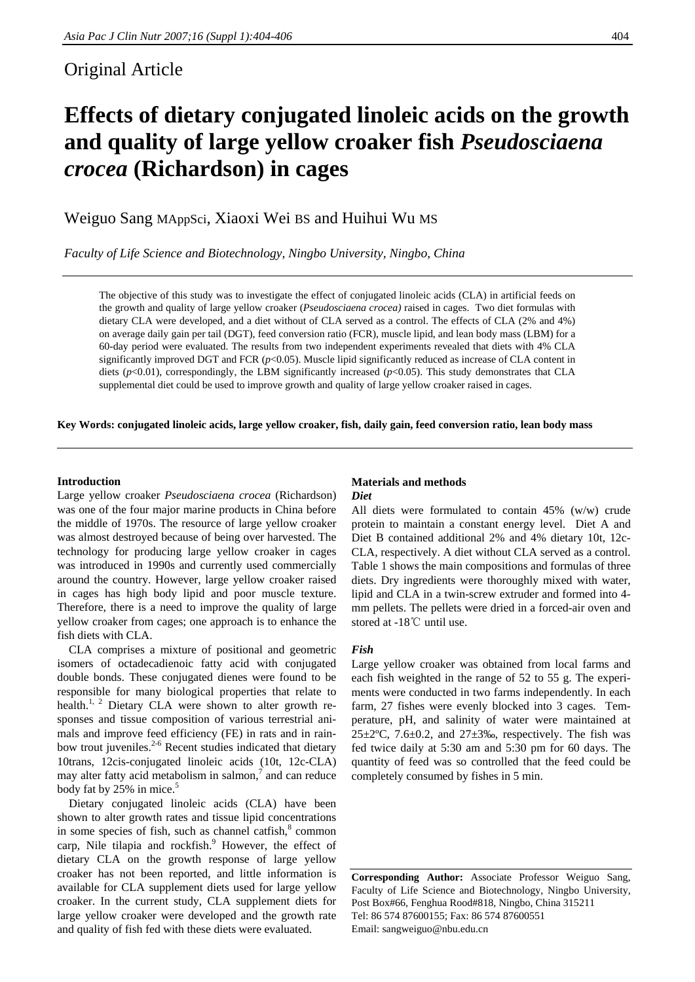## Original Article

# **Effects of dietary conjugated linoleic acids on the growth and quality of large yellow croaker fish** *Pseudosciaena crocea* **(Richardson) in cages**

Weiguo Sang MAppSci, Xiaoxi Wei BS and Huihui Wu MS

*Faculty of Life Science and Biotechnology, Ningbo University, Ningbo, China* 

The objective of this study was to investigate the effect of conjugated linoleic acids (CLA) in artificial feeds on the growth and quality of large yellow croaker (*Pseudosciaena crocea)* raised in cages. Two diet formulas with dietary CLA were developed, and a diet without of CLA served as a control. The effects of CLA (2% and 4%) on average daily gain per tail (DGT), feed conversion ratio (FCR), muscle lipid, and lean body mass (LBM) for a 60-day period were evaluated. The results from two independent experiments revealed that diets with 4% CLA significantly improved DGT and FCR ( $p$ <0.05). Muscle lipid significantly reduced as increase of CLA content in diets (*p*<0.01), correspondingly, the LBM significantly increased (*p*<0.05). This study demonstrates that CLA supplemental diet could be used to improve growth and quality of large yellow croaker raised in cages.

**Key Words: conjugated linoleic acids, large yellow croaker, fish, daily gain, feed conversion ratio, lean body mass** 

### **Introduction**

Large yellow croaker *Pseudosciaena crocea* (Richardson) was one of the four major marine products in China before the middle of 1970s. The resource of large yellow croaker was almost destroyed because of being over harvested. The technology for producing large yellow croaker in cages was introduced in 1990s and currently used commercially around the country. However, large yellow croaker raised in cages has high body lipid and poor muscle texture. Therefore, there is a need to improve the quality of large yellow croaker from cages; one approach is to enhance the fish diets with CLA.

CLA comprises a mixture of positional and geometric isomers of octadecadienoic fatty acid with conjugated double bonds. These conjugated dienes were found to be responsible for many biological properties that relate to health.<sup>1, 2</sup> Dietary CLA were shown to alter growth responses and tissue composition of various terrestrial animals and improve feed efficiency (FE) in rats and in rainbow trout juveniles.<sup>2-6</sup> Recent studies indicated that dietary 10trans, 12cis-conjugated linoleic acids (10t, 12c-CLA) may alter fatty acid metabolism in salmon, $\alpha$  and can reduce body fat by  $25\%$  in mice.<sup>5</sup>

Dietary conjugated linoleic acids (CLA) have been shown to alter growth rates and tissue lipid concentrations in some species of fish, such as channel catfish, $8$  common carp, Nile tilapia and rockfish.<sup>9</sup> However, the effect of dietary CLA on the growth response of large yellow croaker has not been reported, and little information is available for CLA supplement diets used for large yellow croaker. In the current study, CLA supplement diets for large yellow croaker were developed and the growth rate and quality of fish fed with these diets were evaluated.

#### **Materials and methods**  *Diet*

All diets were formulated to contain 45% (w/w) crude protein to maintain a constant energy level. Diet A and Diet B contained additional 2% and 4% dietary 10t, 12c-CLA, respectively. A diet without CLA served as a control. Table 1 shows the main compositions and formulas of three diets. Dry ingredients were thoroughly mixed with water, lipid and CLA in a twin-screw extruder and formed into 4 mm pellets. The pellets were dried in a forced-air oven and stored at -18℃ until use.

#### *Fish*

Large yellow croaker was obtained from local farms and each fish weighted in the range of 52 to 55 g. The experiments were conducted in two farms independently. In each farm, 27 fishes were evenly blocked into 3 cages. Temperature, pH, and salinity of water were maintained at  $25\pm2$ °C, 7.6 $\pm$ 0.2, and 27 $\pm3$ ‰, respectively. The fish was fed twice daily at 5:30 am and 5:30 pm for 60 days. The quantity of feed was so controlled that the feed could be completely consumed by fishes in 5 min.

**Corresponding Author:** Associate Professor Weiguo Sang, Faculty of Life Science and Biotechnology, Ningbo University, Post Box#66, Fenghua Rood#818, Ningbo, China 315211 Tel: 86 574 87600155; Fax: 86 574 87600551 Email: sangweiguo@nbu.edu.cn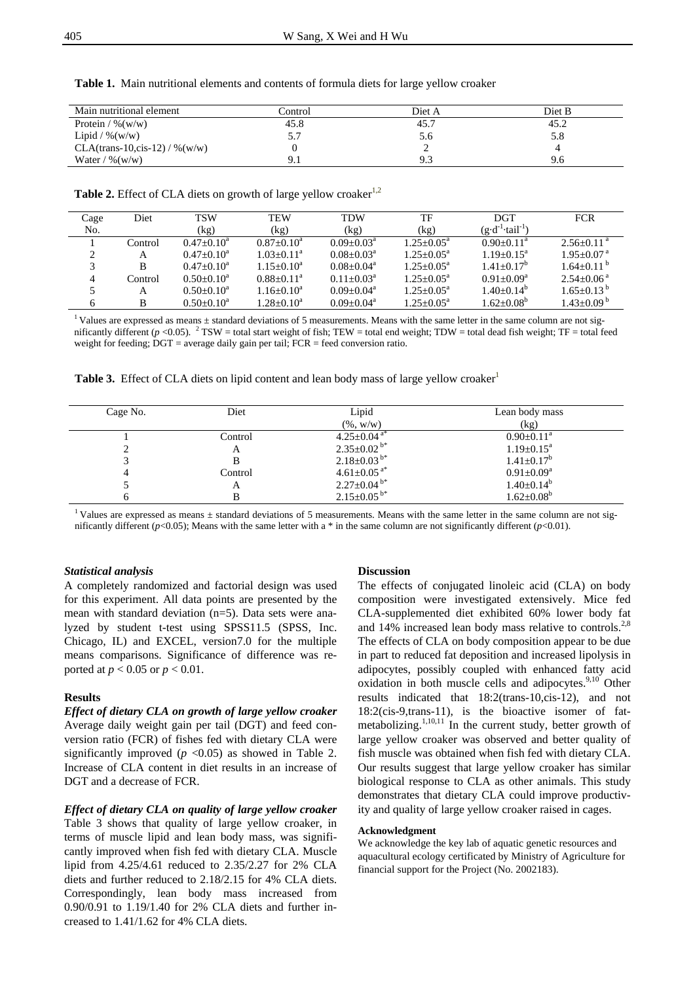| Main nutritional element         | Control | Diet A | Diet B |
|----------------------------------|---------|--------|--------|
| Protein / $\%$ (w/w)             | 45.8    | 45.7   | 45.2   |
| Lipid / $\%$ (w/w)               | 5.7     | 5.6    | 5.8    |
| $CLA$ (trans-10,cis-12) / %(w/w) |         |        |        |
| Water / $\%$ (w/w)               | 9.1     | 9.3    | 9.6    |

**Table 1.** Main nutritional elements and contents of formula diets for large yellow croaker

**Table 2.** Effect of CLA diets on growth of large yellow croaker<sup>1,2</sup>

| Cage | Diet    | <b>TSW</b>      | <b>TEW</b>      | TDW             | TF                    | <b>DGT</b>                         | <b>FCR</b>                 |
|------|---------|-----------------|-----------------|-----------------|-----------------------|------------------------------------|----------------------------|
| No.  |         | (kg)            | (kg)            | (kg)            | (kg)                  | $(g \cdot d^{-1} \cdot tail^{-1})$ |                            |
|      | Control | $0.47+0.10^a$   | $0.87+0.10^a$   | $0.09 + 0.03^a$ | $1.25 + 0.05^a$       | $0.90 + 0.11^a$                    | $2.56+0.11^{a}$            |
|      | А       | $0.47+0.10^a$   | $1.03+0.11^a$   | $0.08 + 0.03^a$ | $1.25 + 0.05^a$       | $1.19 + 0.15^a$                    | $1.95 + 0.07$ <sup>a</sup> |
|      | B       | $0.47 + 0.10^a$ | $1.15+0.10^a$   | $0.08 + 0.04^a$ | $1.25 + 0.05^a$       | $1.41 + 0.17^b$                    | $1.64+0.11b$               |
| 4    | Control | $0.50+0.10^a$   | $0.88 + 0.11^a$ | $0.11 + 0.03a$  | $1.25 + 0.05^a$       | $0.91 + 0.09^a$                    | $2.54+0.06^{\text{a}}$     |
|      | A       | $0.50+0.10^a$   | $1.16 + 0.10^a$ | $0.09 + 0.04^a$ | $1.25 + 0.05^a$       | $1.40+0.14b$                       | $1.65 + 0.13^{b}$          |
|      | В       | $0.50+0.10^a$   | $1.28 + 0.10^a$ | $0.09 + 0.04^a$ | $1.25 + 0.05^{\circ}$ | $1.62 + 0.08^b$                    | $1.43 + 0.09$ <sup>b</sup> |

<sup>1</sup> Values are expressed as means  $\pm$  standard deviations of 5 measurements. Means with the same letter in the same column are not significantly different ( $p$  <0.05). <sup>2</sup> TSW = total start weight of fish; TEW = total end weight; TDW = total dead fish weight; TF = total feed weight for feeding; DGT = average daily gain per tail; FCR = feed conversion ratio.

| Cage No. | Diet    | Lipid                         | Lean body mass             |
|----------|---------|-------------------------------|----------------------------|
|          |         | $(\%$ , w/w)                  | (kg)                       |
|          | Control | $4.25 \pm 0.04$ <sup>a*</sup> | $0.90 \pm 0.11^{\text{a}}$ |
|          | A       | $2.35 \pm 0.02$ b*            | $1.19 \pm 0.15^{\text{a}}$ |
|          |         | $2.18 \pm 0.03^{b*}$          | $1.41 \pm 0.17^b$          |
|          | Control | $4.61 \pm 0.05$ <sup>a*</sup> | $0.91 \pm 0.09^a$          |
|          | A       | $2.27 \pm 0.04$ <sup>b*</sup> | $1.40 \pm 0.14^b$          |
|          |         | $2.15 \pm 0.05^{b*}$          | $1.62 \pm 0.08^b$          |

**Table 3.** Effect of CLA diets on lipid content and lean body mass of large yellow croaker<sup>1</sup>

<sup>1</sup> Values are expressed as means  $\pm$  standard deviations of 5 measurements. Means with the same letter in the same column are not significantly different ( $p$ <0.05); Means with the same letter with a \* in the same column are not significantly different ( $p$ <0.01).

#### *Statistical analysis*

A completely randomized and factorial design was used for this experiment. All data points are presented by the mean with standard deviation (n=5). Data sets were analyzed by student t-test using SPSS11.5 (SPSS, Inc. Chicago, IL) and EXCEL, version7.0 for the multiple means comparisons. Significance of difference was reported at *p* < 0.05 or *p* < 0.01.

#### **Results**

*Effect of dietary CLA on growth of large yellow croaker* Average daily weight gain per tail (DGT) and feed conversion ratio (FCR) of fishes fed with dietary CLA were significantly improved  $(p \le 0.05)$  as showed in Table 2. Increase of CLA content in diet results in an increase of DGT and a decrease of FCR.

*Effect of dietary CLA on quality of large yellow croaker* Table 3 shows that quality of large yellow croaker, in terms of muscle lipid and lean body mass, was significantly improved when fish fed with dietary CLA. Muscle lipid from 4.25/4.61 reduced to 2.35/2.27 for 2% CLA diets and further reduced to 2.18/2.15 for 4% CLA diets. Correspondingly, lean body mass increased from 0.90/0.91 to 1.19/1.40 for 2% CLA diets and further increased to 1.41/1.62 for 4% CLA diets.

#### **Discussion**

The effects of conjugated linoleic acid (CLA) on body composition were investigated extensively. Mice fed CLA-supplemented diet exhibited 60% lower body fat and 14% increased lean body mass relative to controls.<sup>2,8</sup> The effects of CLA on body composition appear to be due in part to reduced fat deposition and increased lipolysis in adipocytes, possibly coupled with enhanced fatty acid oxidation in both muscle cells and adipocytes.<sup>9,10</sup> Other results indicated that 18:2(trans-10,cis-12), and not 18:2(cis-9,trans-11), is the bioactive isomer of fatmetabolizing. $1,10,11$  In the current study, better growth of large yellow croaker was observed and better quality of fish muscle was obtained when fish fed with dietary CLA. Our results suggest that large yellow croaker has similar biological response to CLA as other animals. This study demonstrates that dietary CLA could improve productivity and quality of large yellow croaker raised in cages.

#### **Acknowledgment**

We acknowledge the key lab of aquatic genetic resources and aquacultural ecology certificated by Ministry of Agriculture for financial support for the Project (No. 2002183).